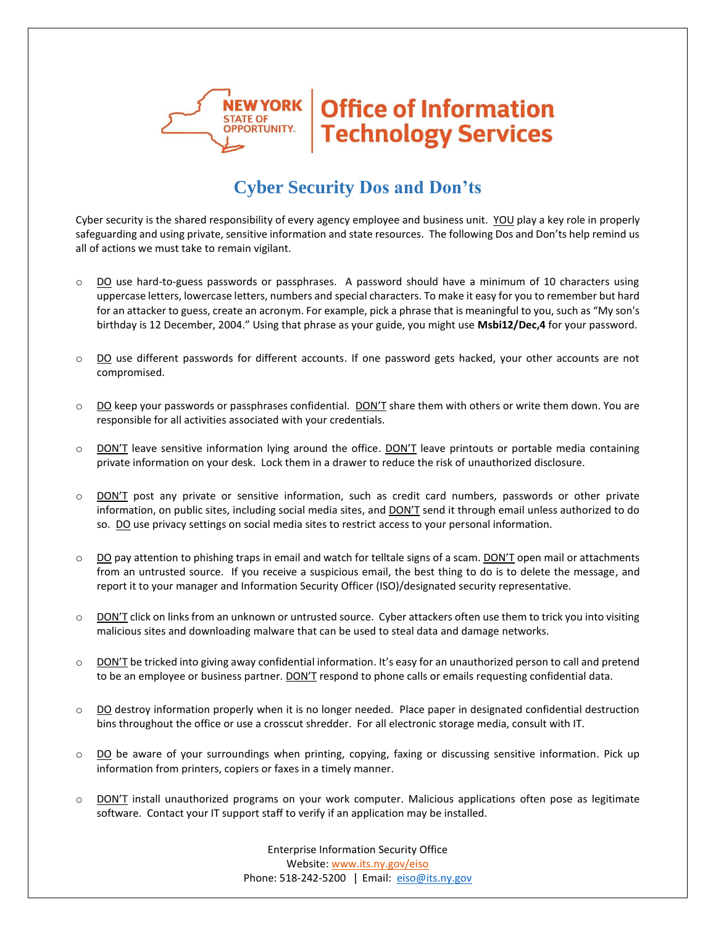

## **Office of Information Technology Services**

## **Cyber Security Dos and Don'ts**

Cyber security is the shared responsibility of every agency employee and business unit. YOU play a key role in properly safeguarding and using private, sensitive information and state resources. The following Dos and Don'ts help remind us all of actions we must take to remain vigilant.

- o DO use hard-to-guess passwords or passphrases. A password should have a minimum of 10 characters using uppercase letters, lowercase letters, numbers and special characters. To make it easy for you to remember but hard for an attacker to guess, create an acronym. For example, pick a phrase that is meaningful to you, such as "My son's birthday is 12 December, 2004." Using that phrase as your guide, you might use **Msbi12/Dec,4** for your password.
- o DO use different passwords for different accounts. If one password gets hacked, your other accounts are not compromised.
- $\circ$  DO keep your passwords or passphrases confidential. DON'T share them with others or write them down. You are responsible for all activities associated with your credentials.
- O DON'T leave sensitive information lying around the office. DON'T leave printouts or portable media containing private information on your desk. Lock them in a drawer to reduce the risk of unauthorized disclosure.
- $\circ$  DON'T post any private or sensitive information, such as credit card numbers, passwords or other private information, on public sites, including social media sites, and DON'T send it through email unless authorized to do so. DO use privacy settings on social media sites to restrict access to your personal information.
- $\circ$  DO pay attention to phishing traps in email and watch for telltale signs of a scam. DON'T open mail or attachments from an untrusted source. If you receive a suspicious email, the best thing to do is to delete the message, and report it to your manager and Information Security Officer (ISO)/designated security representative.
- $\circ$  DON'T click on links from an unknown or untrusted source. Cyber attackers often use them to trick you into visiting malicious sites and downloading malware that can be used to steal data and damage networks.
- $\circ$  DON'T be tricked into giving away confidential information. It's easy for an unauthorized person to call and pretend to be an employee or business partner. DON'T respond to phone calls or emails requesting confidential data.
- $\circ$  DO destroy information properly when it is no longer needed. Place paper in designated confidential destruction bins throughout the office or use a crosscut shredder. For all electronic storage media, consult with IT.
- o DO be aware of your surroundings when printing, copying, faxing or discussing sensitive information. Pick up information from printers, copiers or faxes in a timely manner.
- o DON'T install unauthorized programs on your work computer. Malicious applications often pose as legitimate software. Contact your IT support staff to verify if an application may be installed.

Enterprise Information Security Office Website: [www.its.ny.gov/eiso](http://www.its.ny.gov/eiso) Phone: 518-242-5200 | Email: [eiso@its.ny.gov](mailto:eiso@its.ny.gov)